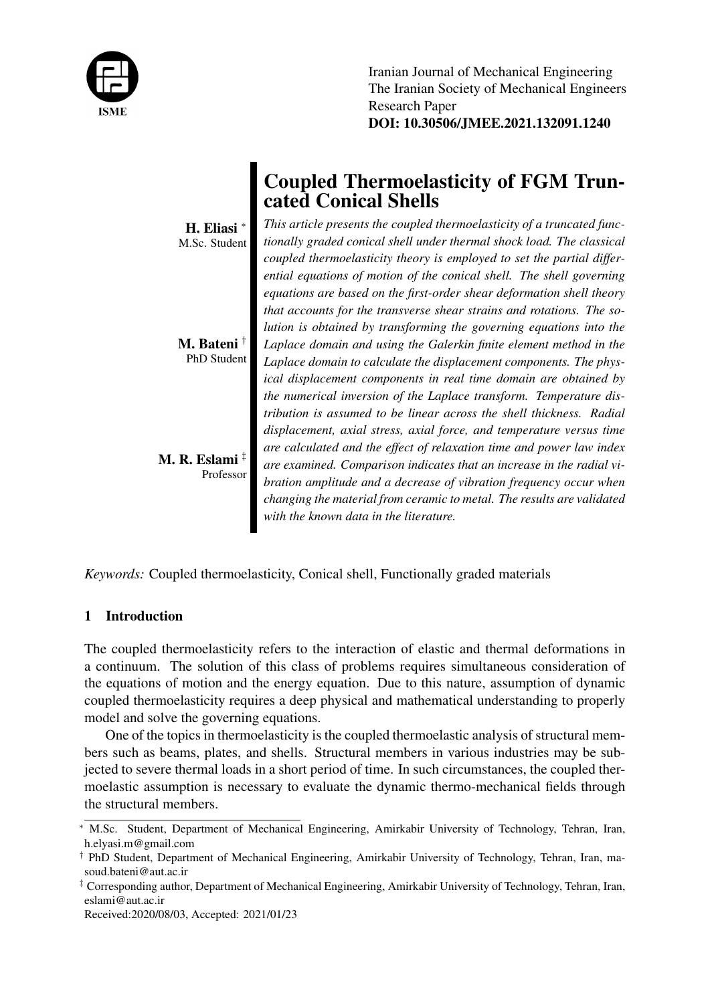

Iranian Journal of Mechanical Engineering The Iranian Society of Mechanical Engineers Research Paper DOI: 10.30506/JMEE.2021.132091.1240

|                                         | <b>Coupled Thermoelasticity of FGM Trun-</b><br>cated Conical Shells                      |
|-----------------------------------------|-------------------------------------------------------------------------------------------|
| H. Eliasi <sup>*</sup><br>M.Sc. Student | This article presents the coupled thermoelasticity of a truncated func-                   |
|                                         | tionally graded conical shell under thermal shock load. The classical                     |
|                                         | coupled thermoelasticity theory is employed to set the partial differ-                    |
|                                         | $\cdots$ $\cdots$ $\cdots$ $\cdots$ $\cdots$ $\cdots$ $\cdots$ $\cdots$ $\cdots$ $\cdots$ |

*ential equations of motion of the conical shell. The shell governing equations are based on the first-order shear deformation shell theory that accounts for the transverse shear strains and rotations. The solution is obtained by transforming the governing equations into the Laplace domain and using the Galerkin finite element method in the Laplace domain to calculate the displacement components. The physical displacement components in real time domain are obtained by the numerical inversion of the Laplace transform. Temperature distribution is assumed to be linear across the shell thickness. Radial displacement, axial stress, axial force, and temperature versus time are calculated and the effect of relaxation time and power law index are examined. Comparison indicates that an increase in the radial vibration amplitude and a decrease of vibration frequency occur when changing the material from ceramic to metal. The results are validated with the known data in the literature.*

*Keywords:* Coupled thermoelasticity, Conical shell, Functionally graded materials

# 1 Introduction

M. Bateni † PhD Student

M. R. Eslami $^{\ddagger}$ 

Professor

The coupled thermoelasticity refers to the interaction of elastic and thermal deformations in a continuum. The solution of this class of problems requires simultaneous consideration of the equations of motion and the energy equation. Due to this nature, assumption of dynamic coupled thermoelasticity requires a deep physical and mathematical understanding to properly model and solve the governing equations.

One of the topics in thermoelasticity is the coupled thermoelastic analysis of structural members such as beams, plates, and shells. Structural members in various industries may be subjected to severe thermal loads in a short period of time. In such circumstances, the coupled thermoelastic assumption is necessary to evaluate the dynamic thermo-mechanical fields through the structural members.

<sup>∗</sup> M.Sc. Student, Department of Mechanical Engineering, Amirkabir University of Technology, Tehran, Iran, h.elyasi.m@gmail.com

<sup>†</sup> PhD Student, Department of Mechanical Engineering, Amirkabir University of Technology, Tehran, Iran, masoud.bateni@aut.ac.ir

<sup>‡</sup> Corresponding author, Department of Mechanical Engineering, Amirkabir University of Technology, Tehran, Iran, eslami@aut.ac.ir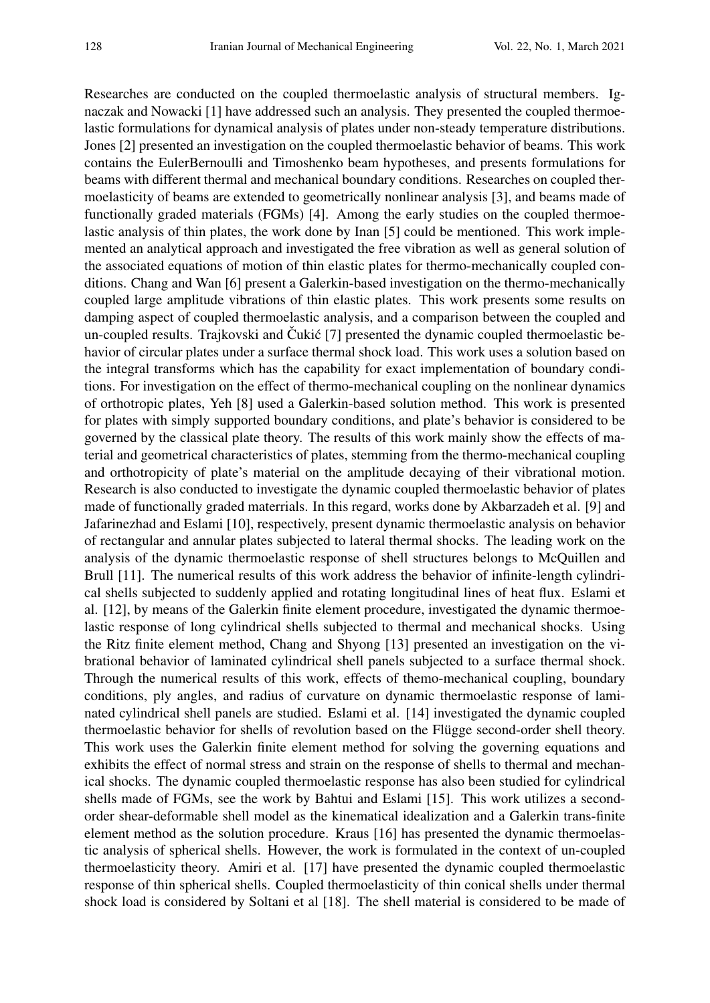Researches are conducted on the coupled thermoelastic analysis of structural members. Ignaczak and Nowacki [1] have addressed such an analysis. They presented the coupled thermoelastic formulations for dynamical analysis of plates under non-steady temperature distributions. Jones [2] presented an investigation on the coupled thermoelastic behavior of beams. This work contains the EulerBernoulli and Timoshenko beam hypotheses, and presents formulations for beams with different thermal and mechanical boundary conditions. Researches on coupled thermoelasticity of beams are extended to geometrically nonlinear analysis [3], and beams made of functionally graded materials (FGMs) [4]. Among the early studies on the coupled thermoelastic analysis of thin plates, the work done by Inan [5] could be mentioned. This work implemented an analytical approach and investigated the free vibration as well as general solution of the associated equations of motion of thin elastic plates for thermo-mechanically coupled conditions. Chang and Wan [6] present a Galerkin-based investigation on the thermo-mechanically coupled large amplitude vibrations of thin elastic plates. This work presents some results on damping aspect of coupled thermoelastic analysis, and a comparison between the coupled and un-coupled results. Trajkovski and Cukić [7] presented the dynamic coupled thermoelastic behavior of circular plates under a surface thermal shock load. This work uses a solution based on the integral transforms which has the capability for exact implementation of boundary conditions. For investigation on the effect of thermo-mechanical coupling on the nonlinear dynamics of orthotropic plates, Yeh [8] used a Galerkin-based solution method. This work is presented for plates with simply supported boundary conditions, and plate's behavior is considered to be governed by the classical plate theory. The results of this work mainly show the effects of material and geometrical characteristics of plates, stemming from the thermo-mechanical coupling and orthotropicity of plate's material on the amplitude decaying of their vibrational motion. Research is also conducted to investigate the dynamic coupled thermoelastic behavior of plates made of functionally graded materrials. In this regard, works done by Akbarzadeh et al. [9] and Jafarinezhad and Eslami [10], respectively, present dynamic thermoelastic analysis on behavior of rectangular and annular plates subjected to lateral thermal shocks. The leading work on the analysis of the dynamic thermoelastic response of shell structures belongs to McQuillen and Brull [11]. The numerical results of this work address the behavior of infinite-length cylindrical shells subjected to suddenly applied and rotating longitudinal lines of heat flux. Eslami et al. [12], by means of the Galerkin finite element procedure, investigated the dynamic thermoelastic response of long cylindrical shells subjected to thermal and mechanical shocks. Using the Ritz finite element method, Chang and Shyong [13] presented an investigation on the vibrational behavior of laminated cylindrical shell panels subjected to a surface thermal shock. Through the numerical results of this work, effects of themo-mechanical coupling, boundary conditions, ply angles, and radius of curvature on dynamic thermoelastic response of laminated cylindrical shell panels are studied. Eslami et al. [14] investigated the dynamic coupled thermoelastic behavior for shells of revolution based on the Flügge second-order shell theory. This work uses the Galerkin finite element method for solving the governing equations and exhibits the effect of normal stress and strain on the response of shells to thermal and mechanical shocks. The dynamic coupled thermoelastic response has also been studied for cylindrical shells made of FGMs, see the work by Bahtui and Eslami [15]. This work utilizes a secondorder shear-deformable shell model as the kinematical idealization and a Galerkin trans-finite element method as the solution procedure. Kraus [16] has presented the dynamic thermoelastic analysis of spherical shells. However, the work is formulated in the context of un-coupled thermoelasticity theory. Amiri et al. [17] have presented the dynamic coupled thermoelastic response of thin spherical shells. Coupled thermoelasticity of thin conical shells under thermal shock load is considered by Soltani et al [18]. The shell material is considered to be made of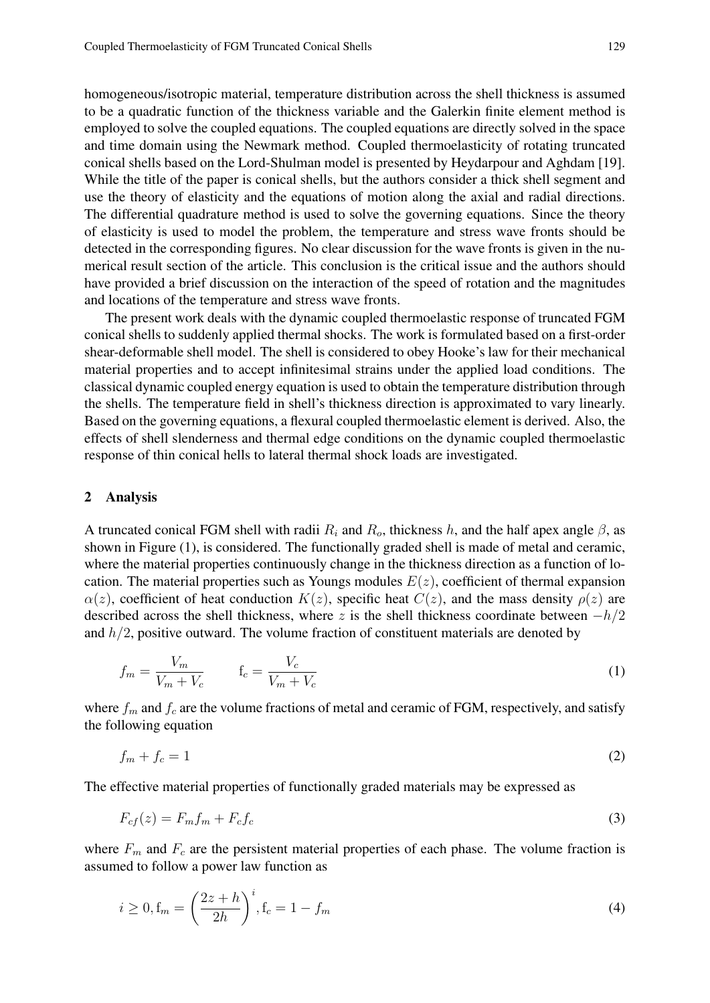homogeneous/isotropic material, temperature distribution across the shell thickness is assumed to be a quadratic function of the thickness variable and the Galerkin finite element method is employed to solve the coupled equations. The coupled equations are directly solved in the space and time domain using the Newmark method. Coupled thermoelasticity of rotating truncated conical shells based on the Lord-Shulman model is presented by Heydarpour and Aghdam [19]. While the title of the paper is conical shells, but the authors consider a thick shell segment and use the theory of elasticity and the equations of motion along the axial and radial directions. The differential quadrature method is used to solve the governing equations. Since the theory of elasticity is used to model the problem, the temperature and stress wave fronts should be detected in the corresponding figures. No clear discussion for the wave fronts is given in the numerical result section of the article. This conclusion is the critical issue and the authors should have provided a brief discussion on the interaction of the speed of rotation and the magnitudes and locations of the temperature and stress wave fronts.

The present work deals with the dynamic coupled thermoelastic response of truncated FGM conical shells to suddenly applied thermal shocks. The work is formulated based on a first-order shear-deformable shell model. The shell is considered to obey Hooke's law for their mechanical material properties and to accept infinitesimal strains under the applied load conditions. The classical dynamic coupled energy equation is used to obtain the temperature distribution through the shells. The temperature field in shell's thickness direction is approximated to vary linearly. Based on the governing equations, a flexural coupled thermoelastic element is derived. Also, the effects of shell slenderness and thermal edge conditions on the dynamic coupled thermoelastic response of thin conical hells to lateral thermal shock loads are investigated.

#### 2 Analysis

A truncated conical FGM shell with radii  $R_i$  and  $R_o$ , thickness h, and the half apex angle  $\beta$ , as shown in Figure (1), is considered. The functionally graded shell is made of metal and ceramic, where the material properties continuously change in the thickness direction as a function of location. The material properties such as Youngs modules  $E(z)$ , coefficient of thermal expansion  $\alpha(z)$ , coefficient of heat conduction  $K(z)$ , specific heat  $C(z)$ , and the mass density  $\rho(z)$  are described across the shell thickness, where z is the shell thickness coordinate between  $-h/2$ and  $h/2$ , positive outward. The volume fraction of constituent materials are denoted by

$$
f_m = \frac{V_m}{V_m + V_c} \qquad \mathbf{f}_c = \frac{V_c}{V_m + V_c} \tag{1}
$$

where  $f_m$  and  $f_c$  are the volume fractions of metal and ceramic of FGM, respectively, and satisfy the following equation

$$
f_m + f_c = 1\tag{2}
$$

The effective material properties of functionally graded materials may be expressed as

$$
F_{cf}(z) = F_m f_m + F_c f_c \tag{3}
$$

where  $F_m$  and  $F_c$  are the persistent material properties of each phase. The volume fraction is assumed to follow a power law function as

$$
i \ge 0, f_m = \left(\frac{2z + h}{2h}\right)^i, f_c = 1 - f_m
$$
\n(4)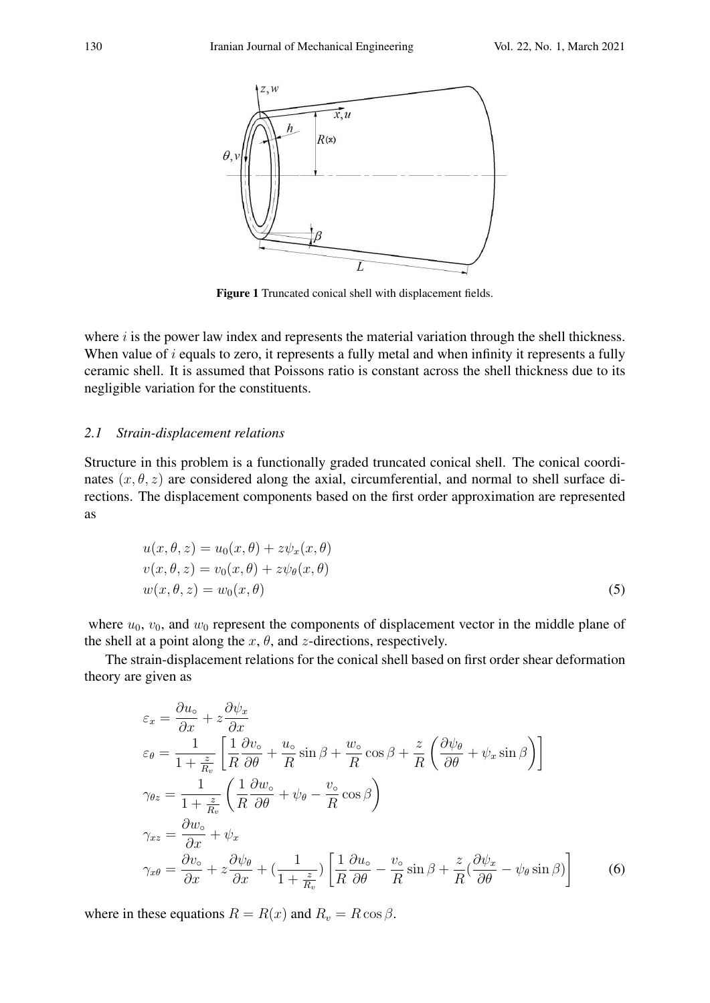

Figure 1 Truncated conical shell with displacement fields.

where  $i$  is the power law index and represents the material variation through the shell thickness. When value of  $i$  equals to zero, it represents a fully metal and when infinity it represents a fully ceramic shell. It is assumed that Poissons ratio is constant across the shell thickness due to its negligible variation for the constituents.

### *2.1 Strain-displacement relations*

Structure in this problem is a functionally graded truncated conical shell. The conical coordinates  $(x, \theta, z)$  are considered along the axial, circumferential, and normal to shell surface directions. The displacement components based on the first order approximation are represented as

$$
u(x, \theta, z) = u_0(x, \theta) + z\psi_x(x, \theta)
$$
  
\n
$$
v(x, \theta, z) = v_0(x, \theta) + z\psi_\theta(x, \theta)
$$
  
\n
$$
w(x, \theta, z) = w_0(x, \theta)
$$
\n(5)

where  $u_0$ ,  $v_0$ , and  $w_0$  represent the components of displacement vector in the middle plane of the shell at a point along the  $x$ ,  $\theta$ , and  $z$ -directions, respectively.

The strain-displacement relations for the conical shell based on first order shear deformation theory are given as

$$
\varepsilon_{x} = \frac{\partial u_{\circ}}{\partial x} + z \frac{\partial \psi_{x}}{\partial x}
$$
\n
$$
\varepsilon_{\theta} = \frac{1}{1 + \frac{z}{R_{v}}} \left[ \frac{1}{R} \frac{\partial v_{\circ}}{\partial \theta} + \frac{u_{\circ}}{R} \sin \beta + \frac{w_{\circ}}{R} \cos \beta + \frac{z}{R} \left( \frac{\partial \psi_{\theta}}{\partial \theta} + \psi_{x} \sin \beta \right) \right]
$$
\n
$$
\gamma_{\theta z} = \frac{1}{1 + \frac{z}{R_{v}}} \left( \frac{1}{R} \frac{\partial w_{\circ}}{\partial \theta} + \psi_{\theta} - \frac{v_{\circ}}{R} \cos \beta \right)
$$
\n
$$
\gamma_{xz} = \frac{\partial w_{\circ}}{\partial x} + \psi_{x}
$$
\n
$$
\gamma_{x\theta} = \frac{\partial v_{\circ}}{\partial x} + z \frac{\partial \psi_{\theta}}{\partial x} + \left( \frac{1}{1 + \frac{z}{R_{v}}} \right) \left[ \frac{1}{R} \frac{\partial u_{\circ}}{\partial \theta} - \frac{v_{\circ}}{R} \sin \beta + \frac{z}{R} \left( \frac{\partial \psi_{x}}{\partial \theta} - \psi_{\theta} \sin \beta \right) \right]
$$
\n(6)

where in these equations  $R = R(x)$  and  $R_v = R \cos \beta$ .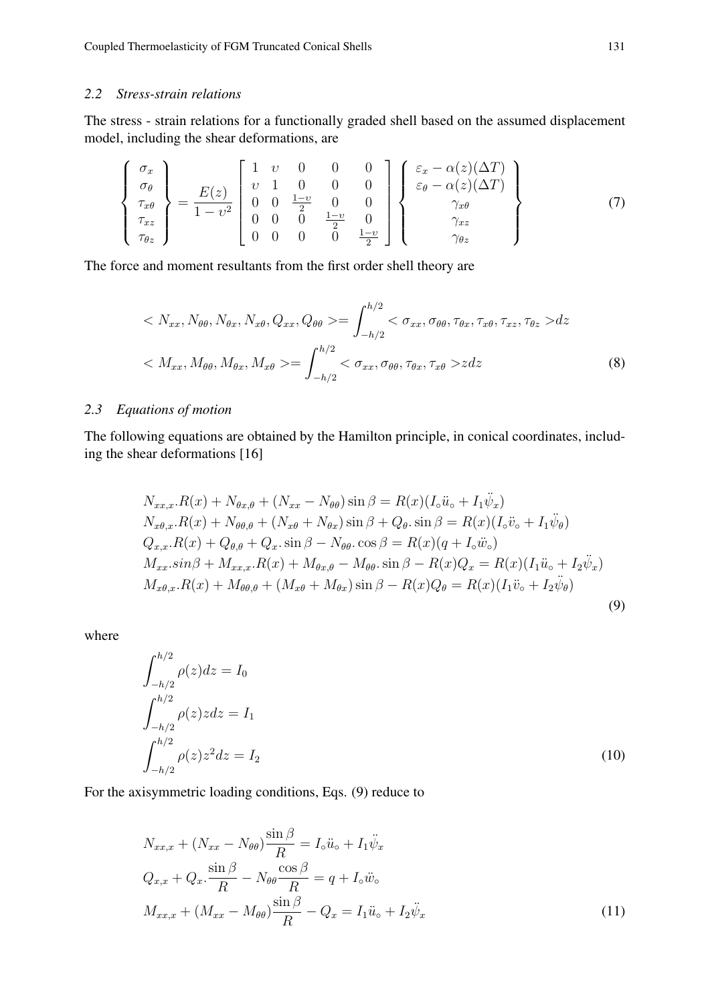## *2.2 Stress-strain relations*

The stress - strain relations for a functionally graded shell based on the assumed displacement model, including the shear deformations, are

$$
\begin{Bmatrix}\n\sigma_x \\
\sigma_\theta \\
\tau_{x\theta} \\
\tau_{xz} \\
\tau_{\theta z}\n\end{Bmatrix} = \frac{E(z)}{1 - v^2} \begin{bmatrix}\n1 & v & 0 & 0 & 0 \\
v & 1 & 0 & 0 & 0 \\
0 & 0 & \frac{1 - v}{2} & 0 & 0 \\
0 & 0 & 0 & \frac{1 - v}{2} & 0 \\
0 & 0 & 0 & 0 & \frac{1 - v}{2}\n\end{bmatrix} \begin{Bmatrix}\n\varepsilon_x - \alpha(z)(\Delta T) \\
\varepsilon_\theta - \alpha(z)(\Delta T) \\
\gamma_{x\theta} \\
\gamma_{xz} \\
\gamma_{\theta z}\n\end{Bmatrix}
$$
\n(7)

The force and moment resultants from the first order shell theory are

$$
\langle N_{xx}, N_{\theta\theta}, N_{\theta x}, N_{x\theta}, Q_{xx}, Q_{\theta\theta} \rangle = \int_{-h/2}^{h/2} \langle \sigma_{xx}, \sigma_{\theta\theta}, \tau_{\theta x}, \tau_{x\theta}, \tau_{xz}, \tau_{\theta z} \rangle dz
$$
  

$$
\langle M_{xx}, M_{\theta\theta}, M_{\theta x}, M_{x\theta} \rangle = \int_{-h/2}^{h/2} \langle \sigma_{xx}, \sigma_{\theta\theta}, \tau_{\theta x}, \tau_{x\theta} \rangle dz
$$
(8)

## *2.3 Equations of motion*

The following equations are obtained by the Hamilton principle, in conical coordinates, including the shear deformations [16]

$$
N_{xx,x}.R(x) + N_{\theta x,\theta} + (N_{xx} - N_{\theta\theta})\sin\beta = R(x)(I_{\circ}\ddot{u}_{\circ} + I_{1}\ddot{\psi}_{x})
$$
  
\n
$$
N_{x\theta,x}.R(x) + N_{\theta\theta,\theta} + (N_{x\theta} + N_{\theta x})\sin\beta + Q_{\theta}\cdot\sin\beta = R(x)(I_{\circ}\ddot{v}_{\circ} + I_{1}\ddot{\psi}_{\theta})
$$
  
\n
$$
Q_{x,x}.R(x) + Q_{\theta,\theta} + Q_{x}\cdot\sin\beta - N_{\theta\theta}\cdot\cos\beta = R(x)(q + I_{\circ}\ddot{w}_{\circ})
$$
  
\n
$$
M_{xx}.\sin\beta + M_{xx,x}.R(x) + M_{\theta x,\theta} - M_{\theta\theta}\cdot\sin\beta - R(x)Q_{x} = R(x)(I_{1}\ddot{u}_{\circ} + I_{2}\ddot{\psi}_{x})
$$
  
\n
$$
M_{x\theta,x}.R(x) + M_{\theta\theta,\theta} + (M_{x\theta} + M_{\theta x})\sin\beta - R(x)Q_{\theta} = R(x)(I_{1}\ddot{v}_{\circ} + I_{2}\ddot{\psi}_{\theta})
$$
  
\n(9)

where

$$
\int_{-h/2}^{h/2} \rho(z)dz = I_0
$$
  

$$
\int_{-h/2}^{h/2} \rho(z)zdz = I_1
$$
  

$$
\int_{-h/2}^{h/2} \rho(z)z^2dz = I_2
$$
 (10)

For the axisymmetric loading conditions, Eqs. (9) reduce to

$$
N_{xx,x} + (N_{xx} - N_{\theta\theta})\frac{\sin\beta}{R} = I_{\circ}\ddot{u}_{\circ} + I_{1}\ddot{\psi}_{x}
$$
  
\n
$$
Q_{x,x} + Q_{x} \cdot \frac{\sin\beta}{R} - N_{\theta\theta}\frac{\cos\beta}{R} = q + I_{\circ}\ddot{w}_{\circ}
$$
  
\n
$$
M_{xx,x} + (M_{xx} - M_{\theta\theta})\frac{\sin\beta}{R} - Q_{x} = I_{1}\ddot{u}_{\circ} + I_{2}\ddot{\psi}_{x}
$$
\n(11)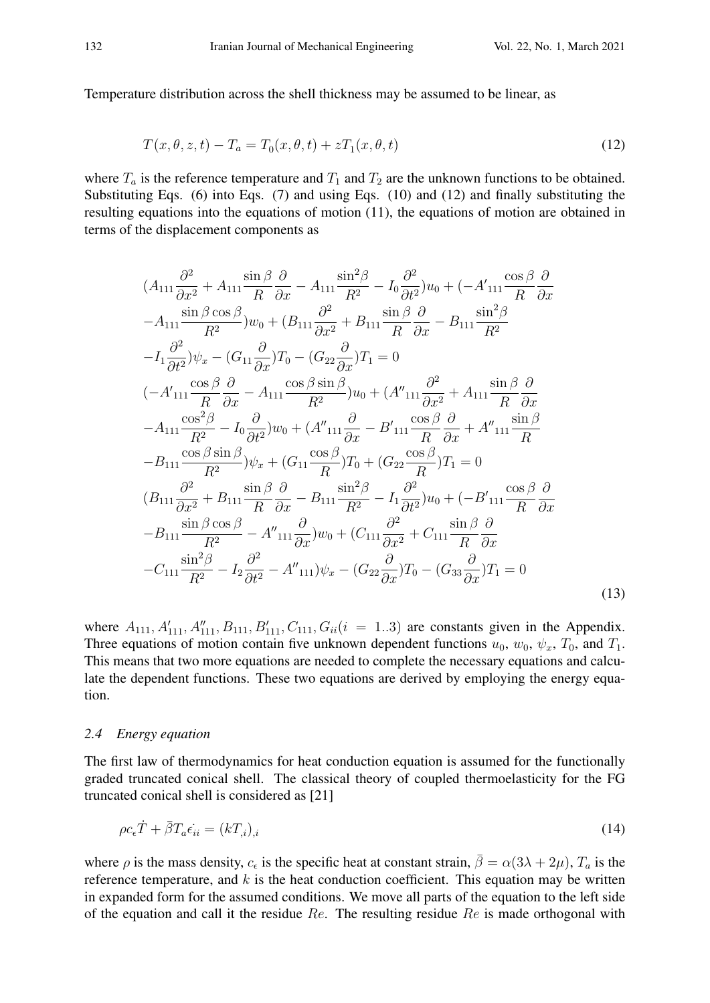Temperature distribution across the shell thickness may be assumed to be linear, as

$$
T(x, \theta, z, t) - T_a = T_0(x, \theta, t) + zT_1(x, \theta, t)
$$
\n(12)

where  $T_a$  is the reference temperature and  $T_1$  and  $T_2$  are the unknown functions to be obtained. Substituting Eqs. (6) into Eqs. (7) and using Eqs. (10) and (12) and finally substituting the resulting equations into the equations of motion (11), the equations of motion are obtained in terms of the displacement components as

$$
(A_{111}\frac{\partial^2}{\partial x^2} + A_{111}\frac{\sin\beta}{R}\frac{\partial}{\partial x} - A_{111}\frac{\sin^2\beta}{R^2} - I_0\frac{\partial^2}{\partial t^2}u_0 + (-A'_{111}\frac{\cos\beta}{R}\frac{\partial}{\partial x} - A_{111}\frac{\sin\beta\cos\beta}{R^2}v_0 + (B_{111}\frac{\partial^2}{\partial x^2} + B_{111}\frac{\sin\beta}{R}\frac{\partial}{\partial x} - B_{111}\frac{\sin^2\beta}{R^2} - I_1\frac{\partial^2}{\partial t^2}v_x - (G_{11}\frac{\partial}{\partial x})T_0 - (G_{22}\frac{\partial}{\partial x})T_1 = 0
$$
  
\n
$$
(-A'_{111}\frac{\cos\beta}{R}\frac{\partial}{\partial x} - A_{111}\frac{\cos\beta\sin\beta}{R^2}v_0 + (A''_{111}\frac{\partial^2}{\partial x^2} + A_{111}\frac{\sin\beta}{R}\frac{\partial}{\partial x} - A_{111}\frac{\cos^2\beta}{R^2} - I_0\frac{\partial}{\partial t^2}v_0 + (A''_{111}\frac{\partial}{\partial x} - B'_{111}\frac{\cos\beta}{R}\frac{\partial}{\partial x} + A''_{111}\frac{\sin\beta}{R}
$$
  
\n
$$
-A_{111}\frac{\cos\beta\sin\beta}{R^2} - I_0\frac{\partial}{\partial t^2}v_x + (G_{11}\frac{\cos\beta}{R})T_0 + (G_{22}\frac{\cos\beta}{R})T_1 = 0
$$
  
\n
$$
(B_{111}\frac{\partial^2}{\partial x^2} + B_{111}\frac{\sin\beta}{R}\frac{\partial}{\partial x} - B_{111}\frac{\sin^2\beta}{R^2} - I_1\frac{\partial^2}{\partial t^2}v_0 + (-B'_{111}\frac{\cos\beta}{R}\frac{\partial}{\partial x} - B_{111}\frac{\sin\beta\cos\beta}{R^2} - A''_{111}\frac{\partial}{\partial x}v_x - (G_{111}\frac{\partial^2}{\partial x^2} + C_{111}\frac{\sin\beta}{R}\frac{\partial}{\partial x} - C_{111}\frac{\sin^2\beta}{R^2} - I_2\frac
$$

where  $A_{111}, A'_{111}, A''_{111}, B_{111}, B'_{111}, C_{111}, G_{ii}$  ( $i = 1..3$ ) are constants given in the Appendix. Three equations of motion contain five unknown dependent functions  $u_0$ ,  $w_0$ ,  $\psi_x$ ,  $T_0$ , and  $T_1$ . This means that two more equations are needed to complete the necessary equations and calculate the dependent functions. These two equations are derived by employing the energy equation.

### *2.4 Energy equation*

The first law of thermodynamics for heat conduction equation is assumed for the functionally graded truncated conical shell. The classical theory of coupled thermoelasticity for the FG truncated conical shell is considered as [21]

$$
\rho c_{\epsilon} \dot{T} + \bar{\beta} T_a \epsilon_{ii} = (kT_{,i})_{,i} \tag{14}
$$

where  $\rho$  is the mass density,  $c_{\epsilon}$  is the specific heat at constant strain,  $\bar{\beta} = \alpha(3\lambda + 2\mu)$ ,  $T_a$  is the reference temperature, and  $k$  is the heat conduction coefficient. This equation may be written in expanded form for the assumed conditions. We move all parts of the equation to the left side of the equation and call it the residue  $Re$ . The resulting residue  $Re$  is made orthogonal with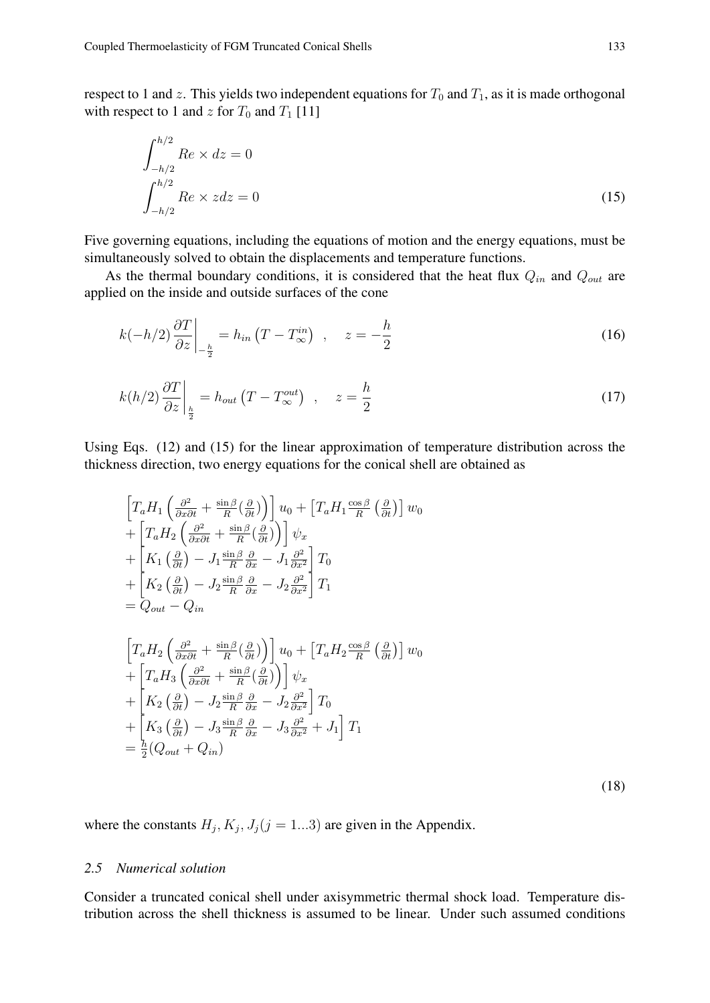respect to 1 and z. This yields two independent equations for  $T_0$  and  $T_1$ , as it is made orthogonal with respect to 1 and z for  $T_0$  and  $T_1$  [11]

$$
\int_{-h/2}^{h/2} Re \times dz = 0
$$
  

$$
\int_{-h/2}^{h/2} Re \times zdz = 0
$$
 (15)

Five governing equations, including the equations of motion and the energy equations, must be simultaneously solved to obtain the displacements and temperature functions.

As the thermal boundary conditions, it is considered that the heat flux  $Q_{in}$  and  $Q_{out}$  are applied on the inside and outside surfaces of the cone

$$
k(-h/2)\frac{\partial T}{\partial z}\bigg|_{-\frac{h}{2}} = h_{in}(T - T_{\infty}^{in}) \quad , \quad z = -\frac{h}{2}
$$
 (16)

$$
k(h/2)\frac{\partial T}{\partial z}\bigg|_{\frac{h}{2}} = h_{out}\left(T - T_{\infty}^{out}\right) , \quad z = \frac{h}{2}
$$
 (17)

Using Eqs. (12) and (15) for the linear approximation of temperature distribution across the thickness direction, two energy equations for the conical shell are obtained as

$$
\begin{split}\n& \left[T_a H_1 \left(\frac{\partial^2}{\partial x \partial t} + \frac{\sin \beta}{R} \left(\frac{\partial}{\partial t}\right)\right)\right] u_0 + \left[T_a H_1 \frac{\cos \beta}{R} \left(\frac{\partial}{\partial t}\right)\right] w_0 \\
& + \left[T_a H_2 \left(\frac{\partial^2}{\partial x \partial t} + \frac{\sin \beta}{R} \left(\frac{\partial}{\partial t}\right)\right)\right] \psi_x \\
& + \left[K_1 \left(\frac{\partial}{\partial t}\right) - J_1 \frac{\sin \beta}{R} \frac{\partial}{\partial x} - J_1 \frac{\partial^2}{\partial x^2}\right] T_0 \\
& + \left[K_2 \left(\frac{\partial}{\partial t}\right) - J_2 \frac{\sin \beta}{R} \frac{\partial}{\partial x} - J_2 \frac{\partial^2}{\partial x^2}\right] T_1 \\
& = Q_{out} - Q_{in} \\
& \left[T_a H_2 \left(\frac{\partial^2}{\partial x \partial t} + \frac{\sin \beta}{R} \left(\frac{\partial}{\partial t}\right)\right)\right] u_0 + \left[T_a H_2 \frac{\cos \beta}{R} \left(\frac{\partial}{\partial t}\right)\right] w_0 \\
& + \left[T_a H_3 \left(\frac{\partial^2}{\partial x \partial t} + \frac{\sin \beta}{R} \left(\frac{\partial}{\partial t}\right)\right)\right] \psi_x \\
& + \left[K_2 \left(\frac{\partial}{\partial t}\right) - J_2 \frac{\sin \beta}{R} \frac{\partial}{\partial x} - J_2 \frac{\partial^2}{\partial x^2}\right] T_0 \\
& + \left[K_3 \left(\frac{\partial}{\partial t}\right) - J_3 \frac{\sin \beta}{R} \frac{\partial}{\partial x} - J_3 \frac{\partial^2}{\partial x^2} + J_1\right] T_1 \\
& = \frac{h}{2} (Q_{out} + Q_{in})\n\end{split}
$$

(18)

where the constants  $H_j$ ,  $K_j$ ,  $J_j$ ( $j = 1...3$ ) are given in the Appendix.

# *2.5 Numerical solution*

Consider a truncated conical shell under axisymmetric thermal shock load. Temperature distribution across the shell thickness is assumed to be linear. Under such assumed conditions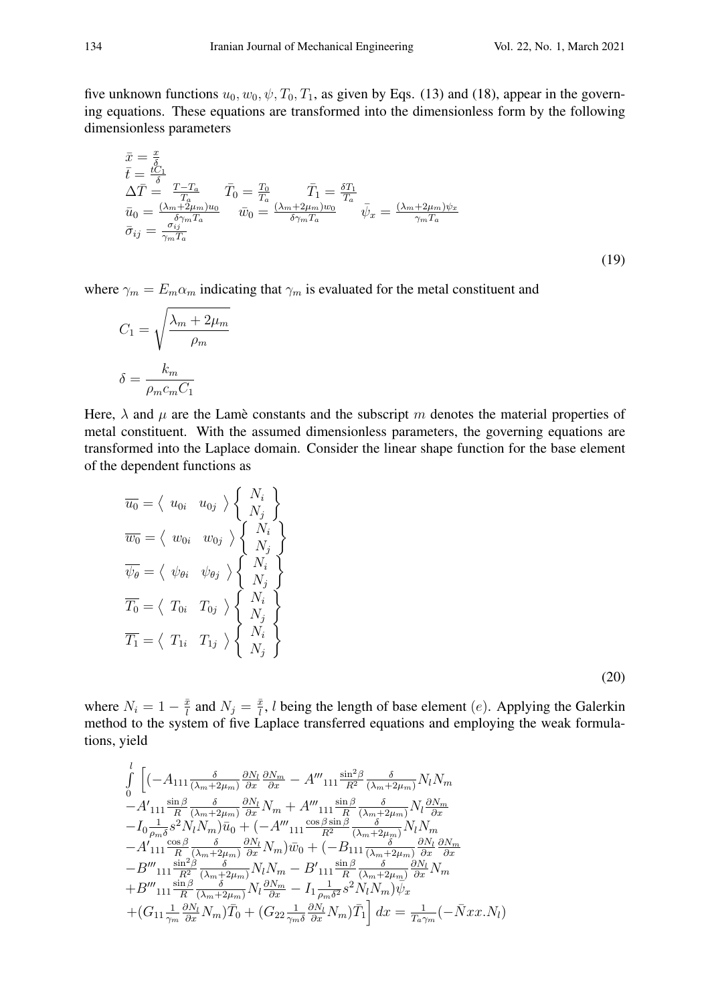five unknown functions  $u_0, w_0, \psi, T_0, T_1$ , as given by Eqs. (13) and (18), appear in the governing equations. These equations are transformed into the dimensionless form by the following dimensionless parameters

$$
\begin{array}{l}\n\bar{x} = \frac{x}{\delta} \\
\bar{t} = \frac{tC_1}{\delta} \\
\Delta \bar{T} = \frac{T - T_a}{T_a} \qquad \bar{T}_0 = \frac{T_0}{T_a} \\
\bar{u}_0 = \frac{(\lambda_m + 2\mu_m)u_0}{\delta \gamma_m T_a} \qquad \bar{w}_0 = \frac{(\lambda_m + 2\mu_m)w_0}{\delta \gamma_m T_a} \qquad \bar{\psi}_x = \frac{(\lambda_m + 2\mu_m)\psi_x}{\gamma_m T_a} \\
\bar{\sigma}_{ij} = \frac{\sigma_{ij}}{\gamma_m T_a}\n\end{array}
$$
\n(19)

where  $\gamma_m = E_m \alpha_m$  indicating that  $\gamma_m$  is evaluated for the metal constituent and

$$
C_1 = \sqrt{\frac{\lambda_m + 2\mu_m}{\rho_m}}
$$

$$
\delta = \frac{k_m}{\rho_m c_m C_1}
$$

Here,  $\lambda$  and  $\mu$  are the Lame constants and the subscript m denotes the material properties of metal constituent. With the assumed dimensionless parameters, the governing equations are transformed into the Laplace domain. Consider the linear shape function for the base element of the dependent functions as

$$
\overline{u_0} = \langle u_{0i} u_{0j} \rangle \left\{ \begin{array}{l} N_i \\ N_j \end{array} \right\}
$$
  

$$
\overline{w_0} = \langle w_{0i} w_{0j} \rangle \left\{ \begin{array}{l} N_i \\ N_j \end{array} \right\}
$$
  

$$
\overline{\psi_{\theta}} = \langle \psi_{\theta i} \psi_{\theta j} \rangle \left\{ \begin{array}{l} N_i \\ N_j \end{array} \right\}
$$
  

$$
\overline{T_0} = \langle T_{0i} T_{0j} \rangle \left\{ \begin{array}{l} N_i \\ N_j \end{array} \right\}
$$
  

$$
\overline{T_1} = \langle T_{1i} T_{1j} \rangle \left\{ \begin{array}{l} N_i \\ N_j \end{array} \right\}
$$

(20)

where  $N_i = 1 - \frac{\bar{x}}{l}$  $\frac{\bar{x}}{l}$  and  $N_j = \frac{\bar{x}}{l}$  $\frac{\bar{x}}{l}$ , *l* being the length of base element (*e*). Applying the Galerkin method to the system of five Laplace transferred equations and employing the weak formulations, yield

$$
\int_{0}^{l} \left[ (-A_{111} \frac{\delta}{(\lambda_{m}+2\mu_{m})} \frac{\partial N_{l}}{\partial x} \frac{\partial N_{m}}{\partial x} - A'''_{111} \frac{\sin^{2}\beta}{R^{2}} \frac{\delta}{(\lambda_{m}+2\mu_{m})} N_{l} N_{m} \right. \\ - A'_{111} \frac{\sin\beta}{R} \frac{\delta}{(\lambda_{m}+2\mu_{m})} \frac{\partial N_{l}}{\partial x} N_{m} + A'''_{111} \frac{\sin\beta}{R} \frac{\delta}{(\lambda_{m}+2\mu_{m})} N_{l} \frac{\partial N_{m}}{\partial x} \\ - I_{0} \frac{1}{\rho_{m}\delta} s^{2} N_{l} N_{m} \right) \bar{u}_{0} + (-A''_{111} \frac{\cos\beta\sin\beta}{R^{2}} \frac{\delta}{(\lambda_{m}+2\mu_{m})} N_{l} N_{m} \\ - A'_{111} \frac{\cos\beta}{R} \frac{\delta}{(\lambda_{m}+2\mu_{m})} \frac{\partial N_{l}}{\partial x} N_{m} \right) \bar{w}_{0} + (-B_{111} \frac{\delta}{(\lambda_{m}+2\mu_{m})} \frac{\partial N_{l}}{\partial x} \frac{\partial N_{m}}{\partial x} \\ - B'''_{111} \frac{\sin^{2}\beta}{R^{2}} \frac{\delta}{(\lambda_{m}+2\mu_{m})} N_{l} N_{m} - B'_{111} \frac{\sin\beta}{R} \frac{\delta}{(\lambda_{m}+2\mu_{m})} \frac{\partial N_{l}}{\partial x} N_{m} \\ + B'''_{111} \frac{\sin\beta}{R} \frac{\delta}{(\lambda_{m}+2\mu_{m})} N_{l} \frac{\partial N_{m}}{\partial x} - I_{1} \frac{1}{\rho_{m}\delta^{2}} s^{2} N_{l} N_{m} \right) \bar{\psi}_{x} \\ + (G_{11} \frac{1}{\gamma_{m}} \frac{\partial N_{l}}{\partial x} N_{m}) \bar{T}_{0} + (G_{22} \frac{1}{\gamma_{m}\delta} \frac{\partial N_{l}}{\partial x} N_{m}) \bar{T}_{1} \right] dx = \frac{1}{T_{a}\gamma_{m}} (-\bar{N} x x . N_{l})
$$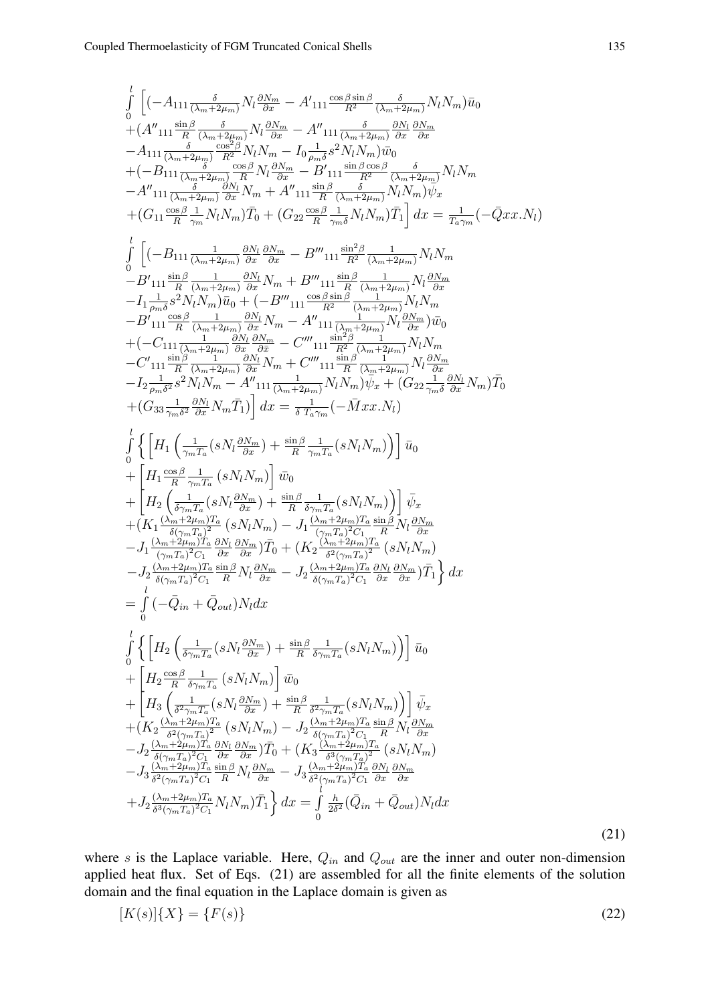$$
\int_{0}^{1} \left[ (-A_{111} \frac{\delta}{(\lambda_{m}+2\mu_{m})} N_{l} \frac{\partial N_{m}}{\partial Y_{m}} - A_{111} \frac{\cos \beta \sin \beta}{\alpha^{2}} \frac{\delta}{(\lambda_{m}+2\mu_{m})} N_{l} N_{m} \right) \tilde{u}_{0} \right. \\ + (A'_{111} \frac{\sin \beta}{R} \frac{\delta}{(\lambda_{m}+2\mu_{m})} \frac{\gamma_{R} \partial N_{m}}{\gamma_{R}+2N_{l}} - A''_{111} \frac{\delta}{(\lambda_{m}+2\mu_{m})} \frac{\partial N_{l} N_{m}}{\partial Z} \\ - A_{111} \frac{\delta}{(\lambda_{m}+2\mu_{m})} \frac{\cos \beta}{R^{2}} N_{l} N_{m} - I_{0} \frac{1}{\lambda_{m}+2\mu_{m}} \frac{\sin \beta \cos \beta}{\beta_{m}} \\ - A''_{111} \frac{\delta}{(\lambda_{m}+2\mu_{m})} \frac{\delta N_{l} N_{m}}{\partial Y_{l}} - B''_{111} \frac{\sin \beta \cos \beta}{\beta_{m}} N_{l} N_{m} \right) \psi_{x} \\ + (G_{11} \frac{\cos \beta}{R} + N_{l} N_{m}) \tilde{T}_{0} + (G_{22} \frac{\cos \beta}{R} \frac{1}{\gamma_{m}+2\mu_{m}}) N_{l} \tilde{T}_{m} \right) dx = \frac{1}{T_{a}\gamma_{m}} (-\bar{Q}x x. N_{l}) \\ \int_{0}^{1} \left[ (-B_{111} \frac{1}{(\lambda_{m}+2\mu_{m})} \frac{\partial N_{l} N_{m}}{\partial Z} - B''_{111} \frac{\sin \beta}{R} \frac{\delta}{(\lambda_{m}+2\mu_{m})} N_{l} N_{m} \\ - B'_{111} \frac{\sin \beta}{R} \frac{\delta}{(\lambda_{m}+2\mu_{m})} \frac{\partial N_{l} N_{m}}{\partial Z} - B'''_{111} \frac{\sin \beta}{R} \frac{\delta}{(\lambda_{m}+2\mu_{m})} N_{l} N_{m} \\ - B''_{111} \frac{\sin \beta}{R} \frac{\delta}{(\lambda_{m}+2\mu_{m})} \frac{\partial N_{l} N_{m}}{\partial Z} - B'''_{111} \frac{\sin \beta}{R} \frac{\
$$

where s is the Laplace variable. Here,  $Q_{in}$  and  $Q_{out}$  are the inner and outer non-dimension applied heat flux. Set of Eqs. (21) are assembled for all the finite elements of the solution domain and the final equation in the Laplace domain is given as

$$
[K(s)]\{X\} = \{F(s)\}\tag{22}
$$

(21)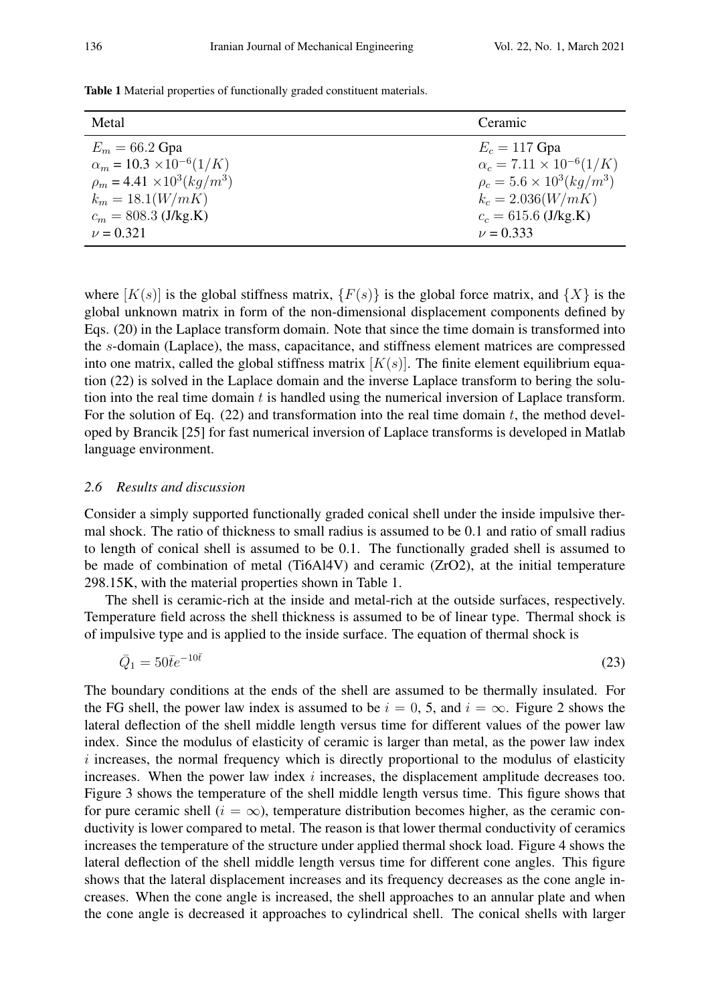| Table 1 Material properties of functionally graded constituent materials. |  |  |  |  |  |
|---------------------------------------------------------------------------|--|--|--|--|--|
|---------------------------------------------------------------------------|--|--|--|--|--|

| Metal                                  | Ceramic                                |
|----------------------------------------|----------------------------------------|
| $E_m = 66.2 \text{ Gpa}$               | $E_c = 117$ Gpa                        |
| $\alpha_m = 10.3 \times 10^{-6} (1/K)$ | $\alpha_c = 7.11 \times 10^{-6} (1/K)$ |
| $\rho_m = 4.41 \times 10^3 (kg/m^3)$   | $\rho_c = 5.6 \times 10^3 (kg/m^3)$    |
| $k_m = 18.1(W/mK)$                     | $k_c = 2.036(W/mK)$                    |
| $c_m = 808.3$ (J/kg.K)                 | $c_c = 615.6$ (J/kg.K)                 |
| $\nu = 0.321$                          | $\nu = 0.333$                          |

where  $[K(s)]$  is the global stiffness matrix,  $\{F(s)\}\$ is the global force matrix, and  $\{X\}$  is the global unknown matrix in form of the non-dimensional displacement components defined by Eqs. (20) in the Laplace transform domain. Note that since the time domain is transformed into the s-domain (Laplace), the mass, capacitance, and stiffness element matrices are compressed into one matrix, called the global stiffness matrix  $[K(s)]$ . The finite element equilibrium equation (22) is solved in the Laplace domain and the inverse Laplace transform to bering the solution into the real time domain  $t$  is handled using the numerical inversion of Laplace transform. For the solution of Eq.  $(22)$  and transformation into the real time domain t, the method developed by Brancik [25] for fast numerical inversion of Laplace transforms is developed in Matlab language environment.

### *2.6 Results and discussion*

Consider a simply supported functionally graded conical shell under the inside impulsive thermal shock. The ratio of thickness to small radius is assumed to be 0.1 and ratio of small radius to length of conical shell is assumed to be 0.1. The functionally graded shell is assumed to be made of combination of metal (Ti6Al4V) and ceramic (ZrO2), at the initial temperature 298.15K, with the material properties shown in Table 1.

The shell is ceramic-rich at the inside and metal-rich at the outside surfaces, respectively. Temperature field across the shell thickness is assumed to be of linear type. Thermal shock is of impulsive type and is applied to the inside surface. The equation of thermal shock is

$$
\bar{Q}_1 = 50\bar{t}e^{-10\bar{t}}\tag{23}
$$

The boundary conditions at the ends of the shell are assumed to be thermally insulated. For the FG shell, the power law index is assumed to be  $i = 0, 5$ , and  $i = \infty$ . Figure 2 shows the lateral deflection of the shell middle length versus time for different values of the power law index. Since the modulus of elasticity of ceramic is larger than metal, as the power law index  $i$  increases, the normal frequency which is directly proportional to the modulus of elasticity increases. When the power law index  $i$  increases, the displacement amplitude decreases too. Figure 3 shows the temperature of the shell middle length versus time. This figure shows that for pure ceramic shell ( $i = \infty$ ), temperature distribution becomes higher, as the ceramic conductivity is lower compared to metal. The reason is that lower thermal conductivity of ceramics increases the temperature of the structure under applied thermal shock load. Figure 4 shows the lateral deflection of the shell middle length versus time for different cone angles. This figure shows that the lateral displacement increases and its frequency decreases as the cone angle increases. When the cone angle is increased, the shell approaches to an annular plate and when the cone angle is decreased it approaches to cylindrical shell. The conical shells with larger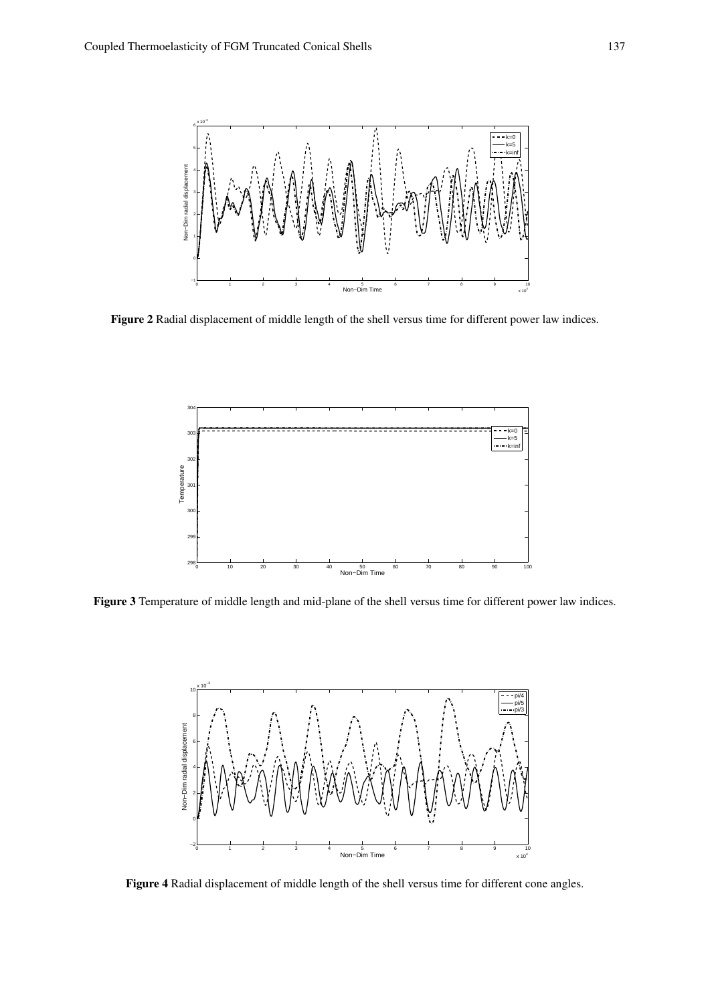

Figure 2 Radial displacement of middle length of the shell versus time for different power law indices.



Figure 3 Temperature of middle length and mid-plane of the shell versus time for different power law indices.



Figure 4 Radial displacement of middle length of the shell versus time for different cone angles.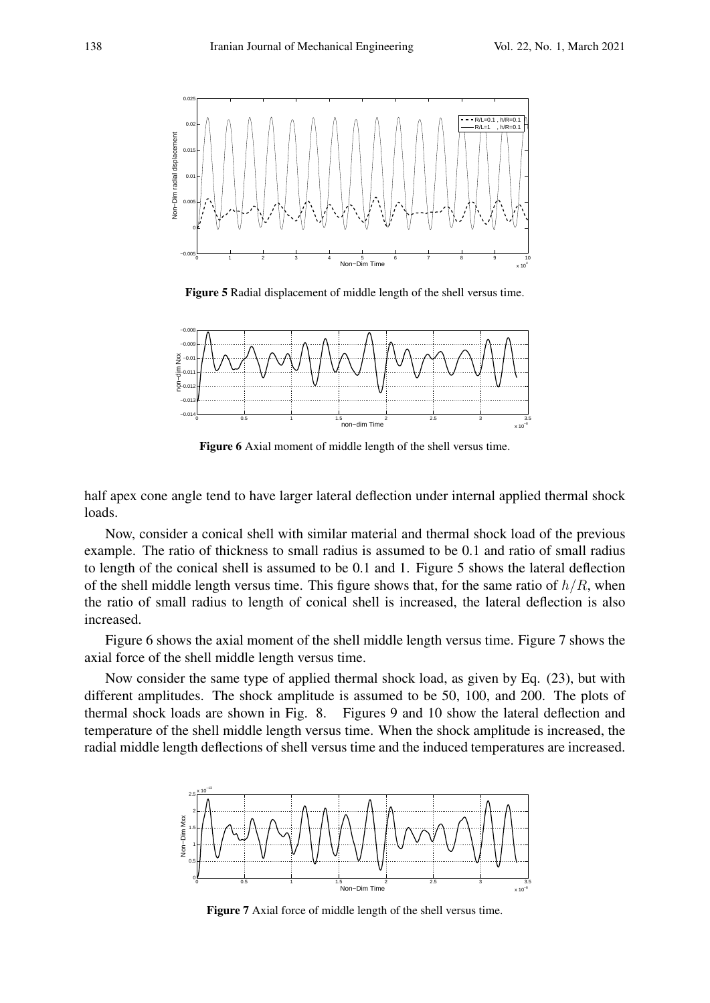

Figure 5 Radial displacement of middle length of the shell versus time.



Figure 6 Axial moment of middle length of the shell versus time.

half apex cone angle tend to have larger lateral deflection under internal applied thermal shock loads.

Now, consider a conical shell with similar material and thermal shock load of the previous example. The ratio of thickness to small radius is assumed to be 0.1 and ratio of small radius to length of the conical shell is assumed to be 0.1 and 1. Figure 5 shows the lateral deflection of the shell middle length versus time. This figure shows that, for the same ratio of  $h/R$ , when the ratio of small radius to length of conical shell is increased, the lateral deflection is also increased.

Figure 6 shows the axial moment of the shell middle length versus time. Figure 7 shows the axial force of the shell middle length versus time.

Now consider the same type of applied thermal shock load, as given by Eq. (23), but with different amplitudes. The shock amplitude is assumed to be 50, 100, and 200. The plots of thermal shock loads are shown in Fig. 8. Figures 9 and 10 show the lateral deflection and temperature of the shell middle length versus time. When the shock amplitude is increased, the radial middle length deflections of shell versus time and the induced temperatures are increased.



Figure 7 Axial force of middle length of the shell versus time.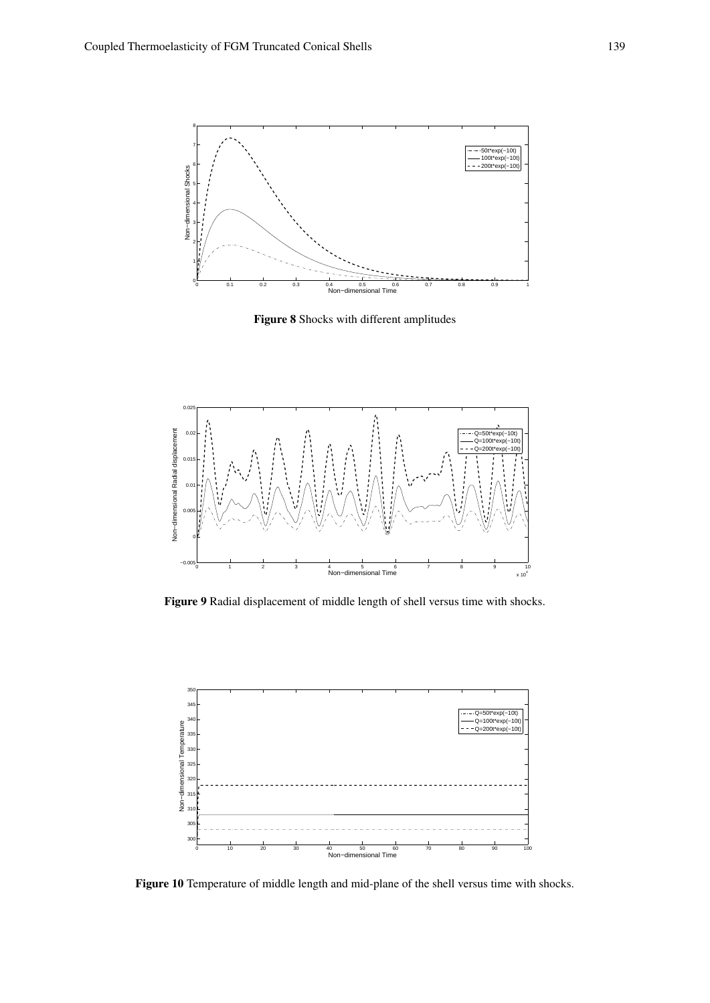

Figure 8 Shocks with different amplitudes



Figure 9 Radial displacement of middle length of shell versus time with shocks.



Figure 10 Temperature of middle length and mid-plane of the shell versus time with shocks.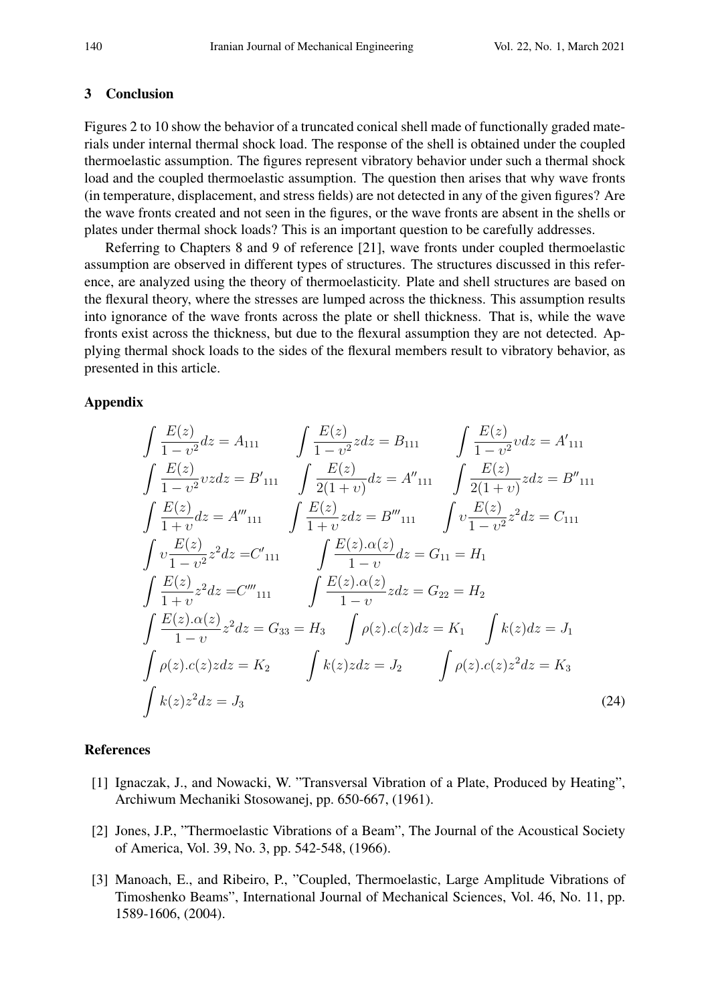### 3 Conclusion

Figures 2 to 10 show the behavior of a truncated conical shell made of functionally graded materials under internal thermal shock load. The response of the shell is obtained under the coupled thermoelastic assumption. The figures represent vibratory behavior under such a thermal shock load and the coupled thermoelastic assumption. The question then arises that why wave fronts (in temperature, displacement, and stress fields) are not detected in any of the given figures? Are the wave fronts created and not seen in the figures, or the wave fronts are absent in the shells or plates under thermal shock loads? This is an important question to be carefully addresses.

Referring to Chapters 8 and 9 of reference [21], wave fronts under coupled thermoelastic assumption are observed in different types of structures. The structures discussed in this reference, are analyzed using the theory of thermoelasticity. Plate and shell structures are based on the flexural theory, where the stresses are lumped across the thickness. This assumption results into ignorance of the wave fronts across the plate or shell thickness. That is, while the wave fronts exist across the thickness, but due to the flexural assumption they are not detected. Applying thermal shock loads to the sides of the flexural members result to vibratory behavior, as presented in this article.

## Appendix

$$
\int \frac{E(z)}{1 - v^2} dz = A_{111} \qquad \int \frac{E(z)}{1 - v^2} z dz = B_{111} \qquad \int \frac{E(z)}{1 - v^2} v dz = A'_{111}
$$
  

$$
\int \frac{E(z)}{1 - v^2} v z dz = B'_{111} \qquad \int \frac{E(z)}{2(1 + v)} dz = A''_{111} \qquad \int \frac{E(z)}{2(1 + v)} z dz = B''_{111}
$$
  

$$
\int \frac{E(z)}{1 + v} dz = A'''_{111} \qquad \int \frac{E(z)}{1 + v} z dz = B'''_{111} \qquad \int v \frac{E(z)}{1 - v^2} z^2 dz = C_{111}
$$
  

$$
\int v \frac{E(z)}{1 - v^2} z^2 dz = C'_{111} \qquad \int \frac{E(z) \cdot \alpha(z)}{1 - v} dz = G_{11} = H_1
$$
  

$$
\int \frac{E(z)}{1 + v} z^2 dz = C'''_{111} \qquad \int \frac{E(z) \cdot \alpha(z)}{1 - v} z dz = G_{22} = H_2
$$
  

$$
\int \frac{E(z) \cdot \alpha(z)}{1 - v} z^2 dz = G_{33} = H_3 \qquad \int \rho(z) \cdot c(z) dz = K_1 \qquad \int k(z) dz = J_1
$$
  

$$
\int \rho(z) \cdot c(z) z dz = K_2 \qquad \int k(z) z dz = J_2 \qquad \int \rho(z) \cdot c(z) z^2 dz = K_3
$$
  

$$
\int k(z) z^2 dz = J_3 \qquad (24)
$$

### References

- [1] Ignaczak, J., and Nowacki, W. "Transversal Vibration of a Plate, Produced by Heating", Archiwum Mechaniki Stosowanej, pp. 650-667, (1961).
- [2] Jones, J.P., "Thermoelastic Vibrations of a Beam", The Journal of the Acoustical Society of America, Vol. 39, No. 3, pp. 542-548, (1966).
- [3] Manoach, E., and Ribeiro, P., "Coupled, Thermoelastic, Large Amplitude Vibrations of Timoshenko Beams", International Journal of Mechanical Sciences, Vol. 46, No. 11, pp. 1589-1606, (2004).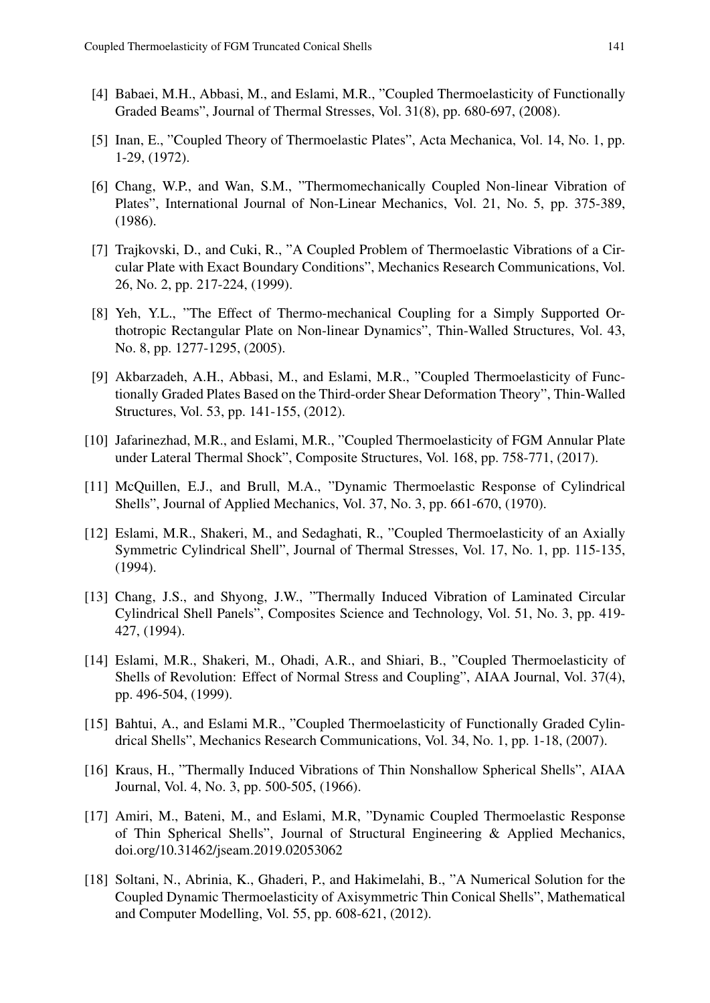- [4] Babaei, M.H., Abbasi, M., and Eslami, M.R., "Coupled Thermoelasticity of Functionally Graded Beams", Journal of Thermal Stresses, Vol. 31(8), pp. 680-697, (2008).
- [5] Inan, E., "Coupled Theory of Thermoelastic Plates", Acta Mechanica, Vol. 14, No. 1, pp. 1-29, (1972).
- [6] Chang, W.P., and Wan, S.M., "Thermomechanically Coupled Non-linear Vibration of Plates", International Journal of Non-Linear Mechanics, Vol. 21, No. 5, pp. 375-389, (1986).
- [7] Trajkovski, D., and Cuki, R., "A Coupled Problem of Thermoelastic Vibrations of a Circular Plate with Exact Boundary Conditions", Mechanics Research Communications, Vol. 26, No. 2, pp. 217-224, (1999).
- [8] Yeh, Y.L., "The Effect of Thermo-mechanical Coupling for a Simply Supported Orthotropic Rectangular Plate on Non-linear Dynamics", Thin-Walled Structures, Vol. 43, No. 8, pp. 1277-1295, (2005).
- [9] Akbarzadeh, A.H., Abbasi, M., and Eslami, M.R., "Coupled Thermoelasticity of Functionally Graded Plates Based on the Third-order Shear Deformation Theory", Thin-Walled Structures, Vol. 53, pp. 141-155, (2012).
- [10] Jafarinezhad, M.R., and Eslami, M.R., "Coupled Thermoelasticity of FGM Annular Plate under Lateral Thermal Shock", Composite Structures, Vol. 168, pp. 758-771, (2017).
- [11] McQuillen, E.J., and Brull, M.A., "Dynamic Thermoelastic Response of Cylindrical Shells", Journal of Applied Mechanics, Vol. 37, No. 3, pp. 661-670, (1970).
- [12] Eslami, M.R., Shakeri, M., and Sedaghati, R., "Coupled Thermoelasticity of an Axially Symmetric Cylindrical Shell", Journal of Thermal Stresses, Vol. 17, No. 1, pp. 115-135, (1994).
- [13] Chang, J.S., and Shyong, J.W., "Thermally Induced Vibration of Laminated Circular Cylindrical Shell Panels", Composites Science and Technology, Vol. 51, No. 3, pp. 419- 427, (1994).
- [14] Eslami, M.R., Shakeri, M., Ohadi, A.R., and Shiari, B., "Coupled Thermoelasticity of Shells of Revolution: Effect of Normal Stress and Coupling", AIAA Journal, Vol. 37(4), pp. 496-504, (1999).
- [15] Bahtui, A., and Eslami M.R., "Coupled Thermoelasticity of Functionally Graded Cylindrical Shells", Mechanics Research Communications, Vol. 34, No. 1, pp. 1-18, (2007).
- [16] Kraus, H., "Thermally Induced Vibrations of Thin Nonshallow Spherical Shells", AIAA Journal, Vol. 4, No. 3, pp. 500-505, (1966).
- [17] Amiri, M., Bateni, M., and Eslami, M.R, "Dynamic Coupled Thermoelastic Response of Thin Spherical Shells", Journal of Structural Engineering & Applied Mechanics, doi.org/10.31462/jseam.2019.02053062
- [18] Soltani, N., Abrinia, K., Ghaderi, P., and Hakimelahi, B., "A Numerical Solution for the Coupled Dynamic Thermoelasticity of Axisymmetric Thin Conical Shells", Mathematical and Computer Modelling, Vol. 55, pp. 608-621, (2012).